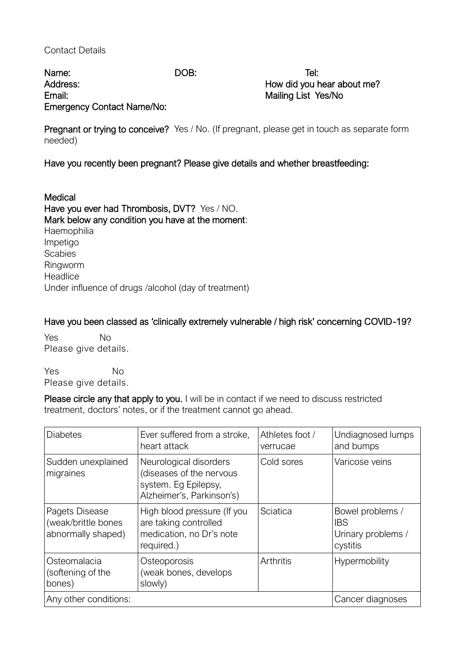## Contact Details

Name: DOB: Tel: Address: Address: Address: Address: Address: Address: Address: Address: Address: Address: Address: Address: Address: Address: Address: Address: Address: Address: Address: Address: Address: Address: Address: Address: Addres Email: Email: Email: Email: Email: Email: Email: Email: Email: Email: Email: Email: Email: Email: Email: Email: Email: Email: Email: Email: Email: Email: Email: Email: Email: Email: Email: Email: Email: Email: Email: Email Emergency Contact Name/No:

Pregnant or trying to conceive? Yes / No. (If pregnant, please get in touch as separate form needed)

Have you recently been pregnant? Please give details and whether breastfeeding:

Medical Have you ever had Thrombosis, DVT? Yes / NO. Mark below any condition you have at the moment: **Haemophilia** Impetigo **Scabies** Ringworm **Headlice** Under influence of drugs /alcohol (day of treatment)

Have you been classed as 'clinically extremely vulnerable / high risk' concerning COVID-19?

Yes No Please give details.

Yes No Please give details.

Please circle any that apply to you. I will be in contact if we need to discuss restricted treatment, doctors' notes, or if the treatment cannot go ahead.

| <b>Diabetes</b>                                             | Ever suffered from a stroke,<br>heart attack                                                            | Athletes foot /<br>verrucae | Undiagnosed lumps<br>and bumps                                   |
|-------------------------------------------------------------|---------------------------------------------------------------------------------------------------------|-----------------------------|------------------------------------------------------------------|
| Sudden unexplained<br>migraines                             | Neurological disorders<br>(diseases of the nervous<br>system. Eg Epilepsy,<br>Alzheimer's, Parkinson's) | Cold sores                  | Varicose veins                                                   |
| Pagets Disease<br>(weak/brittle bones<br>abnormally shaped) | High blood pressure (If you<br>are taking controlled<br>medication, no Dr's note<br>required.)          | Sciatica                    | Bowel problems /<br><b>IBS</b><br>Urinary problems /<br>cystitis |
| Osteomalacia<br>(softening of the<br>bones)                 | Osteoporosis<br>(weak bones, develops<br>slowly)                                                        | Arthritis                   | Hypermobility                                                    |
| Any other conditions:                                       |                                                                                                         |                             | Cancer diagnoses                                                 |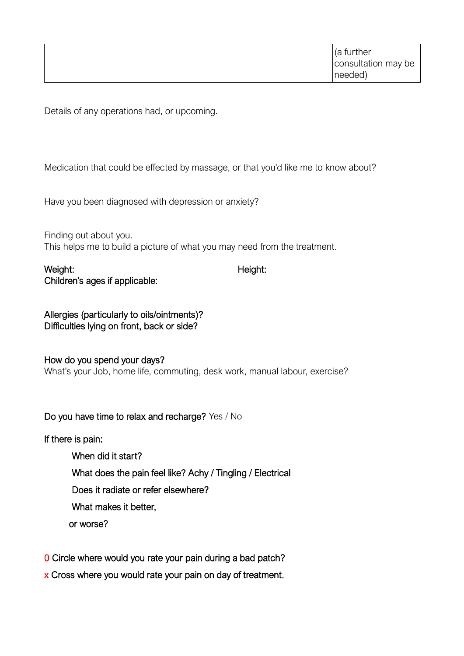Details of any operations had, or upcoming.

Medication that could be effected by massage, or that you'd like me to know about?

Have you been diagnosed with depression or anxiety?

Finding out about you. This helps me to build a picture of what you may need from the treatment.

Weight: Neight: Neight: Neight: Neight: Neight: Neight: Neight: Neight: Neight: Neight: Neight: Neight: Neight: Neight: Neight: Neight: Neight: Neight: Neight: Neight: Neight: Neight: Neight: Neight: Neight: Neight: Neight Children's ages if applicable:

Allergies (particularly to oils/ointments)? Difficulties lying on front, back or side?

How do you spend your days? What's your Job, home life, commuting, desk work, manual labour, exercise?

Do you have time to relax and recharge? Yes / No

If there is pain:

- When did it start? What does the pain feel like? Achy / Tingling / Electrical Does it radiate or refer elsewhere? What makes it better, or worse?
- 0 Circle where would you rate your pain during a bad patch?
- x Cross where you would rate your pain on day of treatment.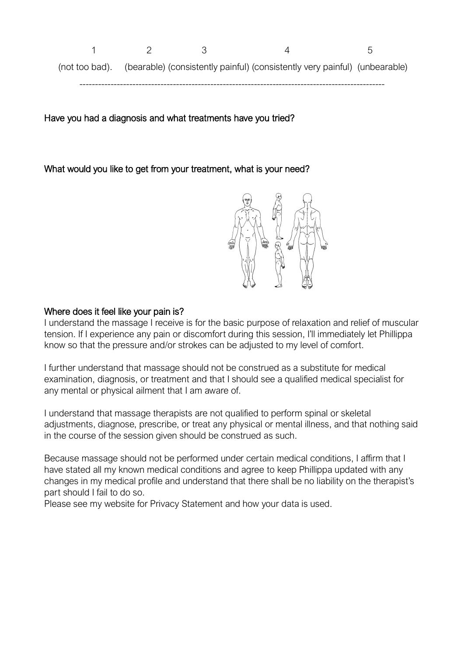1 2 3 4 5 (not too bad). (bearable) (consistently painful) (consistently very painful) (unbearable) --------------------------------------------------------------------------------------------------

Have you had a diagnosis and what treatments have you tried?

What would you like to get from your treatment, what is your need?



## Where does it feel like your pain is?

I understand the massage I receive is for the basic purpose of relaxation and relief of muscular tension. If I experience any pain or discomfort during this session, I'll immediately let Phillippa know so that the pressure and/or strokes can be adjusted to my level of comfort.

I further understand that massage should not be construed as a substitute for medical examination, diagnosis, or treatment and that I should see a qualified medical specialist for any mental or physical ailment that I am aware of.

I understand that massage therapists are not qualified to perform spinal or skeletal adjustments, diagnose, prescribe, or treat any physical or mental illness, and that nothing said in the course of the session given should be construed as such.

Because massage should not be performed under certain medical conditions, I affirm that I have stated all my known medical conditions and agree to keep Phillippa updated with any changes in my medical profile and understand that there shall be no liability on the therapist's part should I fail to do so.

Please see my website for Privacy Statement and how your data is used.